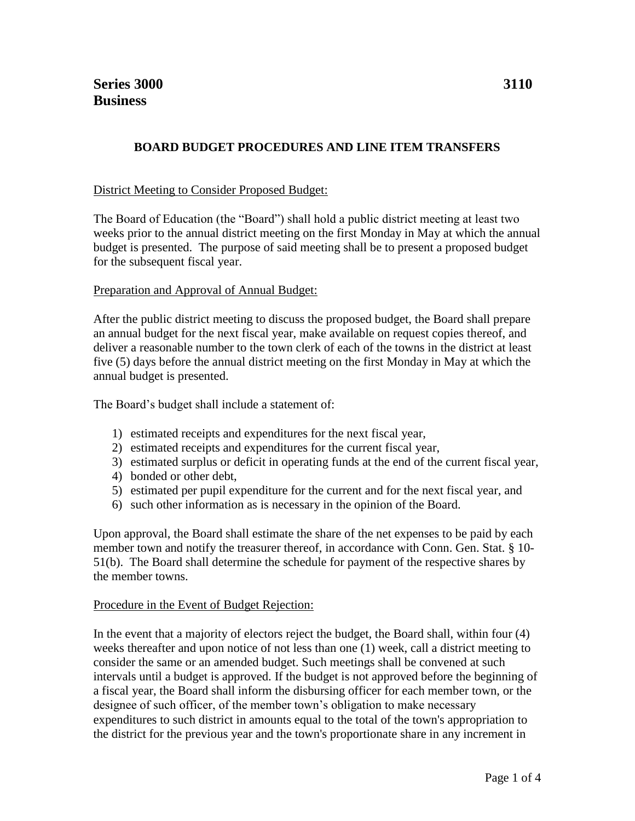# **BOARD BUDGET PROCEDURES AND LINE ITEM TRANSFERS**

## District Meeting to Consider Proposed Budget:

The Board of Education (the "Board") shall hold a public district meeting at least two weeks prior to the annual district meeting on the first Monday in May at which the annual budget is presented. The purpose of said meeting shall be to present a proposed budget for the subsequent fiscal year.

## Preparation and Approval of Annual Budget:

After the public district meeting to discuss the proposed budget, the Board shall prepare an annual budget for the next fiscal year, make available on request copies thereof, and deliver a reasonable number to the town clerk of each of the towns in the district at least five (5) days before the annual district meeting on the first Monday in May at which the annual budget is presented.

The Board's budget shall include a statement of:

- 1) estimated receipts and expenditures for the next fiscal year,
- 2) estimated receipts and expenditures for the current fiscal year,
- 3) estimated surplus or deficit in operating funds at the end of the current fiscal year,
- 4) bonded or other debt,
- 5) estimated per pupil expenditure for the current and for the next fiscal year, and
- 6) such other information as is necessary in the opinion of the Board.

Upon approval, the Board shall estimate the share of the net expenses to be paid by each member town and notify the treasurer thereof, in accordance with Conn. Gen. Stat. § 10- 51(b). The Board shall determine the schedule for payment of the respective shares by the member towns.

### Procedure in the Event of Budget Rejection:

In the event that a majority of electors reject the budget, the Board shall, within four (4) weeks thereafter and upon notice of not less than one (1) week, call a district meeting to consider the same or an amended budget. Such meetings shall be convened at such intervals until a budget is approved. If the budget is not approved before the beginning of a fiscal year, the Board shall inform the disbursing officer for each member town, or the designee of such officer, of the member town's obligation to make necessary expenditures to such district in amounts equal to the total of the town's appropriation to the district for the previous year and the town's proportionate share in any increment in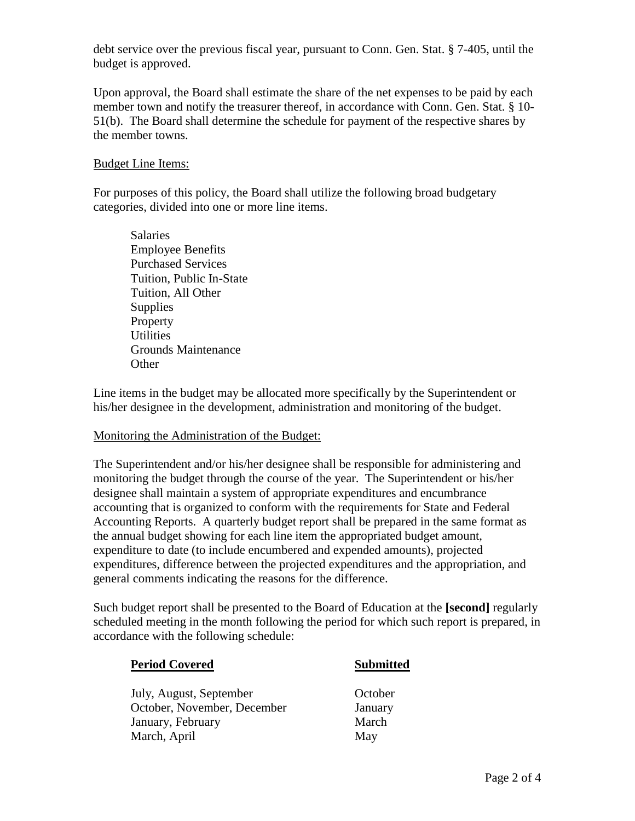debt service over the previous fiscal year, pursuant to Conn. Gen. Stat. § 7-405, until the budget is approved.

Upon approval, the Board shall estimate the share of the net expenses to be paid by each member town and notify the treasurer thereof, in accordance with Conn. Gen. Stat. § 10- 51(b). The Board shall determine the schedule for payment of the respective shares by the member towns.

### Budget Line Items:

For purposes of this policy, the Board shall utilize the following broad budgetary categories, divided into one or more line items.

Salaries Employee Benefits Purchased Services Tuition, Public In-State Tuition, All Other Supplies Property **Utilities** Grounds Maintenance **Other** 

Line items in the budget may be allocated more specifically by the Superintendent or his/her designee in the development, administration and monitoring of the budget.

#### Monitoring the Administration of the Budget:

The Superintendent and/or his/her designee shall be responsible for administering and monitoring the budget through the course of the year. The Superintendent or his/her designee shall maintain a system of appropriate expenditures and encumbrance accounting that is organized to conform with the requirements for State and Federal Accounting Reports. A quarterly budget report shall be prepared in the same format as the annual budget showing for each line item the appropriated budget amount, expenditure to date (to include encumbered and expended amounts), projected expenditures, difference between the projected expenditures and the appropriation, and general comments indicating the reasons for the difference.

Such budget report shall be presented to the Board of Education at the **[second]** regularly scheduled meeting in the month following the period for which such report is prepared, in accordance with the following schedule:

| <b>Period Covered</b>       | <b>Submitted</b> |
|-----------------------------|------------------|
| July, August, September     | October          |
| October, November, December | January          |
| January, February           | March            |
| March, April                | May              |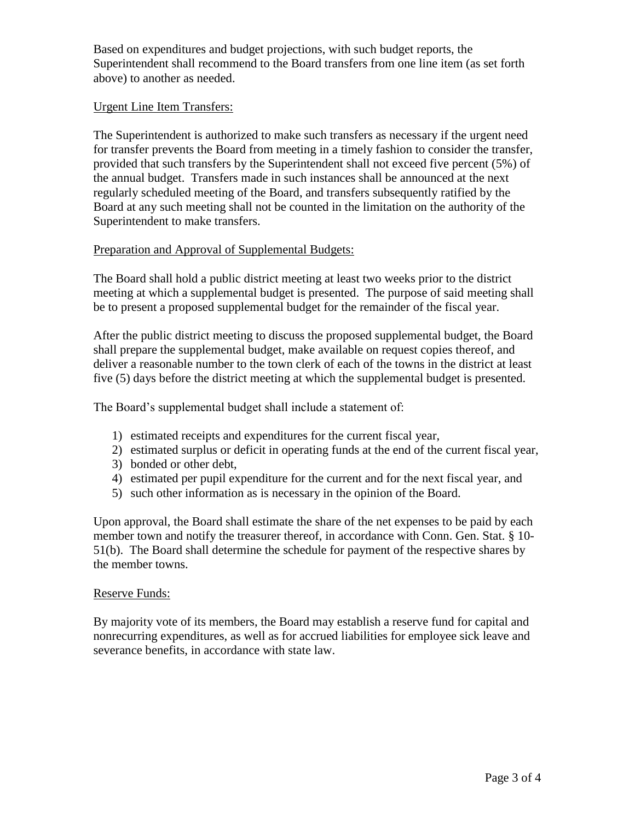Based on expenditures and budget projections, with such budget reports, the Superintendent shall recommend to the Board transfers from one line item (as set forth above) to another as needed.

## Urgent Line Item Transfers:

The Superintendent is authorized to make such transfers as necessary if the urgent need for transfer prevents the Board from meeting in a timely fashion to consider the transfer, provided that such transfers by the Superintendent shall not exceed five percent (5%) of the annual budget. Transfers made in such instances shall be announced at the next regularly scheduled meeting of the Board, and transfers subsequently ratified by the Board at any such meeting shall not be counted in the limitation on the authority of the Superintendent to make transfers.

## Preparation and Approval of Supplemental Budgets:

The Board shall hold a public district meeting at least two weeks prior to the district meeting at which a supplemental budget is presented. The purpose of said meeting shall be to present a proposed supplemental budget for the remainder of the fiscal year.

After the public district meeting to discuss the proposed supplemental budget, the Board shall prepare the supplemental budget, make available on request copies thereof, and deliver a reasonable number to the town clerk of each of the towns in the district at least five (5) days before the district meeting at which the supplemental budget is presented.

The Board's supplemental budget shall include a statement of:

- 1) estimated receipts and expenditures for the current fiscal year,
- 2) estimated surplus or deficit in operating funds at the end of the current fiscal year,
- 3) bonded or other debt,
- 4) estimated per pupil expenditure for the current and for the next fiscal year, and
- 5) such other information as is necessary in the opinion of the Board.

Upon approval, the Board shall estimate the share of the net expenses to be paid by each member town and notify the treasurer thereof, in accordance with Conn. Gen. Stat. § 10- 51(b). The Board shall determine the schedule for payment of the respective shares by the member towns.

### Reserve Funds:

By majority vote of its members, the Board may establish a reserve fund for capital and nonrecurring expenditures, as well as for accrued liabilities for employee sick leave and severance benefits, in accordance with state law.